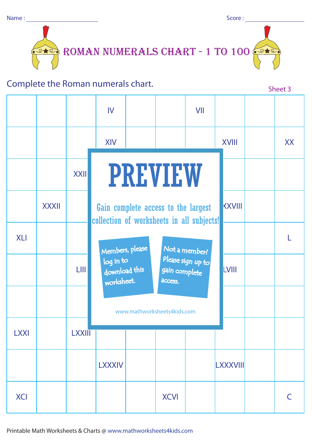Score :



## Complete the Roman numerals chart.

|             |              |             | IV                                                                               |                             |                          | VII               |              |           |
|-------------|--------------|-------------|----------------------------------------------------------------------------------|-----------------------------|--------------------------|-------------------|--------------|-----------|
|             |              |             | <b>XIV</b>                                                                       |                             |                          |                   | <b>XVIII</b> | <b>XX</b> |
|             |              | <b>XXII</b> |                                                                                  | <b>PREVIEW</b>              |                          |                   |              |           |
|             | <b>XXXII</b> |             | Gain complete access to the largest<br>collection of worksheets in all subjects! |                             |                          |                   |              |           |
| <b>XLI</b>  |              |             | Members, please<br>Not a member?                                                 |                             |                          |                   |              |           |
|             |              | <b>LIII</b> | log in to<br>download this<br>worksheet.                                         |                             | gain complete<br>access. | Please sign up to | <b>LVIII</b> |           |
|             |              |             |                                                                                  | www.mathworksheets4kids.com |                          |                   |              |           |
| <b>LXXI</b> |              | LXXIII      |                                                                                  |                             |                          |                   |              |           |
|             |              |             | <b>LXXXIV</b>                                                                    |                             |                          |                   | LXXXVIII     |           |
| <b>XCI</b>  |              |             |                                                                                  |                             | <b>XCVI</b>              |                   |              | C         |